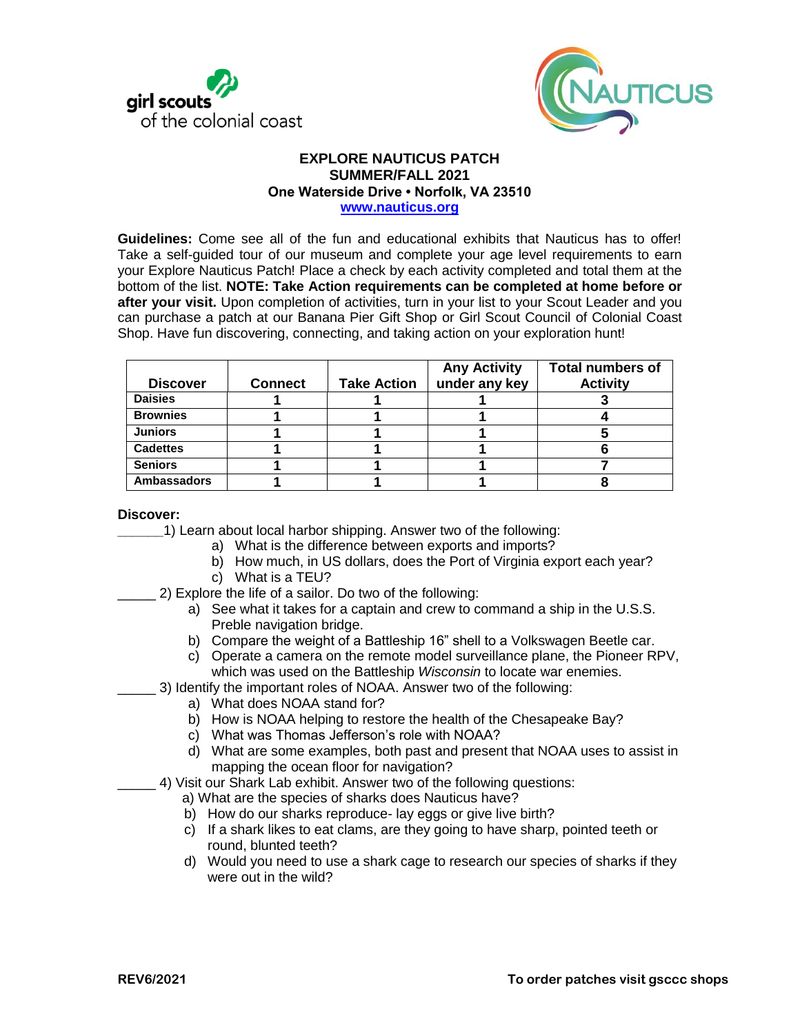



#### **EXPLORE NAUTICUS PATCH SUMMER/FALL 2021 One Waterside Drive • Norfolk, VA 23510 [www.nauticus.org](http://www.nauticus.org/)**

**Guidelines:** Come see all of the fun and educational exhibits that Nauticus has to offer! Take a self-guided tour of our museum and complete your age level requirements to earn your Explore Nauticus Patch! Place a check by each activity completed and total them at the bottom of the list. **NOTE: Take Action requirements can be completed at home before or after your visit.** Upon completion of activities, turn in your list to your Scout Leader and you can purchase a patch at our Banana Pier Gift Shop or Girl Scout Council of Colonial Coast Shop. Have fun discovering, connecting, and taking action on your exploration hunt!

| <b>Discover</b>    | <b>Connect</b> | <b>Take Action</b> | <b>Any Activity</b><br>under any key | <b>Total numbers of</b><br><b>Activity</b> |
|--------------------|----------------|--------------------|--------------------------------------|--------------------------------------------|
| <b>Daisies</b>     |                |                    |                                      |                                            |
| <b>Brownies</b>    |                |                    |                                      |                                            |
| <b>Juniors</b>     |                |                    |                                      |                                            |
| <b>Cadettes</b>    |                |                    |                                      |                                            |
| <b>Seniors</b>     |                |                    |                                      |                                            |
| <b>Ambassadors</b> |                |                    |                                      |                                            |

**Discover:** 

**\_\_\_\_\_\_**1) Learn about local harbor shipping. Answer two of the following:

- a) What is the difference between exports and imports?
- b) How much, in US dollars, does the Port of Virginia export each year?
- c) What is a TEU?
- \_\_\_\_\_ 2) Explore the life of a sailor. Do two of the following:
	- a) See what it takes for a captain and crew to command a ship in the U.S.S. Preble navigation bridge.
	- b) Compare the weight of a Battleship 16" shell to a Volkswagen Beetle car.
	- c) Operate a camera on the remote model surveillance plane, the Pioneer RPV, which was used on the Battleship *Wisconsin* to locate war enemies.

\_\_\_\_\_ 3) Identify the important roles of NOAA. Answer two of the following:

- a) What does NOAA stand for?
	- b) How is NOAA helping to restore the health of the Chesapeake Bay?
	- c) What was Thomas Jefferson's role with NOAA?
	- d) What are some examples, both past and present that NOAA uses to assist in mapping the ocean floor for navigation?
- 4) Visit our Shark Lab exhibit. Answer two of the following questions:
	- a) What are the species of sharks does Nauticus have?
	- b) How do our sharks reproduce- lay eggs or give live birth?
	- c) If a shark likes to eat clams, are they going to have sharp, pointed teeth or round, blunted teeth?
	- d) Would you need to use a shark cage to research our species of sharks if they were out in the wild?